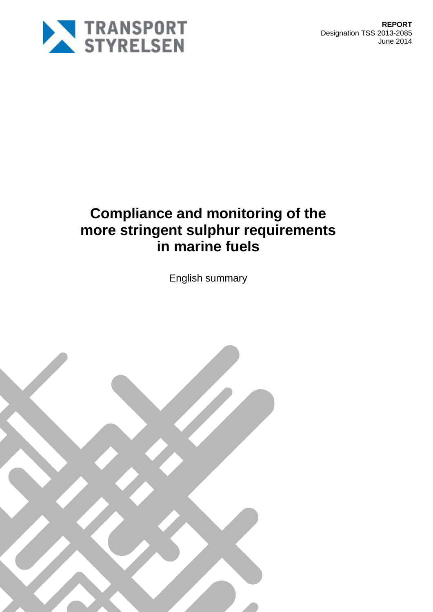

# **Compliance and monitoring of the more stringent sulphur requirements in marine fuels**

English summary

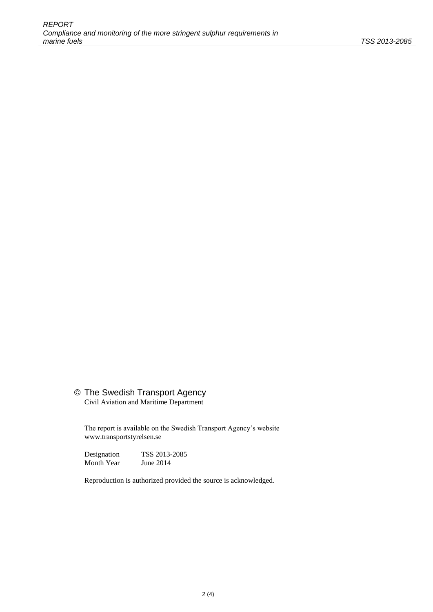### © The Swedish Transport Agency

Civil Aviation and Maritime Department

The report is available on the Swedish Transport Agency's website www.transportstyrelsen.se

Designation TSS 2013-2085<br>Month Year June 2014 Month Year

Reproduction is authorized provided the source is acknowledged.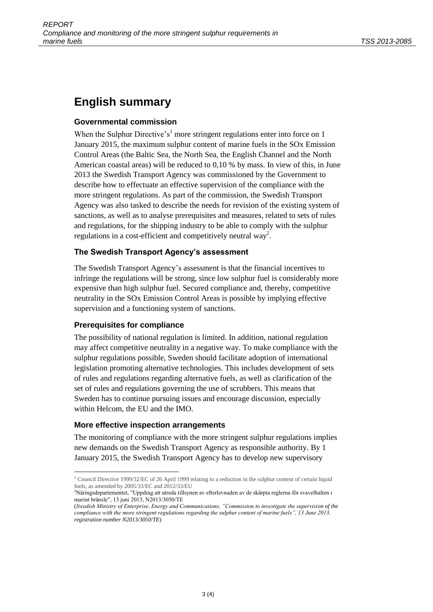## **English summary**

#### **Governmental commission**

When the Sulphur Directive's<sup>1</sup> more stringent regulations enter into force on 1 January 2015, the maximum sulphur content of marine fuels in the SOx Emission Control Areas (the Baltic Sea, the North Sea, the English Channel and the North American coastal areas) will be reduced to 0,10 % by mass. In view of this, in June 2013 the Swedish Transport Agency was commissioned by the Government to describe how to effectuate an effective supervision of the compliance with the more stringent regulations. As part of the commission, the Swedish Transport Agency was also tasked to describe the needs for revision of the existing system of sanctions, as well as to analyse prerequisites and measures, related to sets of rules and regulations, for the shipping industry to be able to comply with the sulphur regulations in a cost-efficient and competitively neutral way<sup>2</sup>.

#### **The Swedish Transport Agency's assessment**

The Swedish Transport Agency's assessment is that the financial incentives to infringe the regulations will be strong, since low sulphur fuel is considerably more expensive than high sulphur fuel. Secured compliance and, thereby, competitive neutrality in the SOx Emission Control Areas is possible by implying effective supervision and a functioning system of sanctions.

#### **Prerequisites for compliance**

The possibility of national regulation is limited. In addition, national regulation may affect competitive neutrality in a negative way. To make compliance with the sulphur regulations possible, Sweden should facilitate adoption of international legislation promoting alternative technologies. This includes development of sets of rules and regulations regarding alternative fuels, as well as clarification of the set of rules and regulations governing the use of scrubbers. This means that Sweden has to continue pursuing issues and encourage discussion, especially within Helcom, the EU and the IMO.

#### **More effective inspection arrangements**

The monitoring of compliance with the more stringent sulphur regulations implies new demands on the Swedish Transport Agency as responsible authority. By 1 January 2015, the Swedish Transport Agency has to develop new supervisory

<sup>1</sup> <sup>1</sup> Council Directive 1999/32/EC of 26 April 1999 relating to a reduction in the sulphur content of certain liquid fuels, as amended by  $2005/33/EC$  and  $2012/33/EU$ 

<sup>2</sup>Näringsdepartementet, "Uppdrag att utreda tillsynen av efterlevnaden av de skärpta reglerna för svavelhalten i marint bränsle", 13 juni 2013, N2013/3050/TE

<sup>(</sup>*Swedish Ministry of Enterprise, Energy and Communications, "Commission to investigate the supervision of the compliance with the more stringent regulations regarding the sulphur content of marine fuels", 13 June 2013, registration number N2013/3050/TE*)